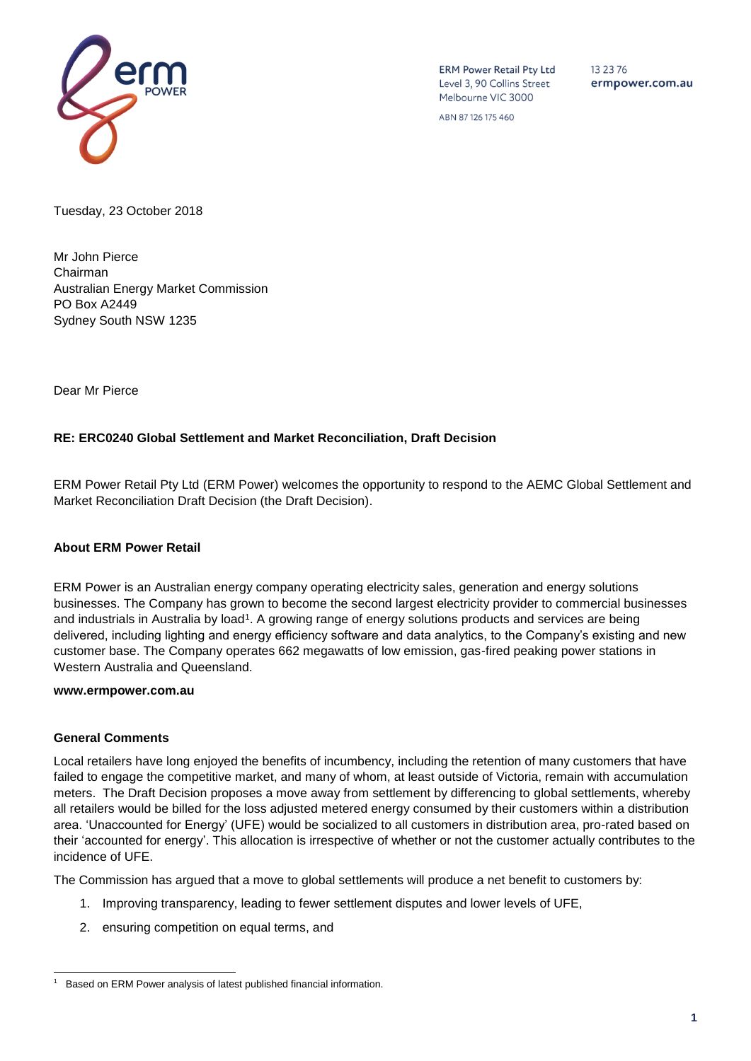

**ERM Power Retail Pty Ltd** Level 3, 90 Collins Street Melbourne VIC 3000

13 23 76 ermpower.com.au

ABN 87126175460

Tuesday, 23 October 2018

Mr John Pierce Chairman Australian Energy Market Commission PO Box A2449 Sydney South NSW 1235

Dear Mr Pierce

### **RE: ERC0240 Global Settlement and Market Reconciliation, Draft Decision**

ERM Power Retail Pty Ltd (ERM Power) welcomes the opportunity to respond to the AEMC Global Settlement and Market Reconciliation Draft Decision (the Draft Decision).

### **About ERM Power Retail**

ERM Power is an Australian energy company operating electricity sales, generation and energy solutions businesses. The Company has grown to become the second largest electricity provider to commercial businesses and industrials in Australia by load<sup>1</sup>. A growing range of energy solutions products and services are being delivered, including lighting and energy efficiency software and data analytics, to the Company's existing and new customer base. The Company operates 662 megawatts of low emission, gas-fired peaking power stations in Western Australia and Queensland.

#### **www.ermpower.com.au**

#### **General Comments**

Local retailers have long enjoyed the benefits of incumbency, including the retention of many customers that have failed to engage the competitive market, and many of whom, at least outside of Victoria, remain with accumulation meters. The Draft Decision proposes a move away from settlement by differencing to global settlements, whereby all retailers would be billed for the loss adjusted metered energy consumed by their customers within a distribution area. 'Unaccounted for Energy' (UFE) would be socialized to all customers in distribution area, pro-rated based on their 'accounted for energy'. This allocation is irrespective of whether or not the customer actually contributes to the incidence of UFE.

The Commission has argued that a move to global settlements will produce a net benefit to customers by:

- 1. Improving transparency, leading to fewer settlement disputes and lower levels of UFE,
- 2. ensuring competition on equal terms, and

l 1 Based on ERM Power analysis of latest published financial information.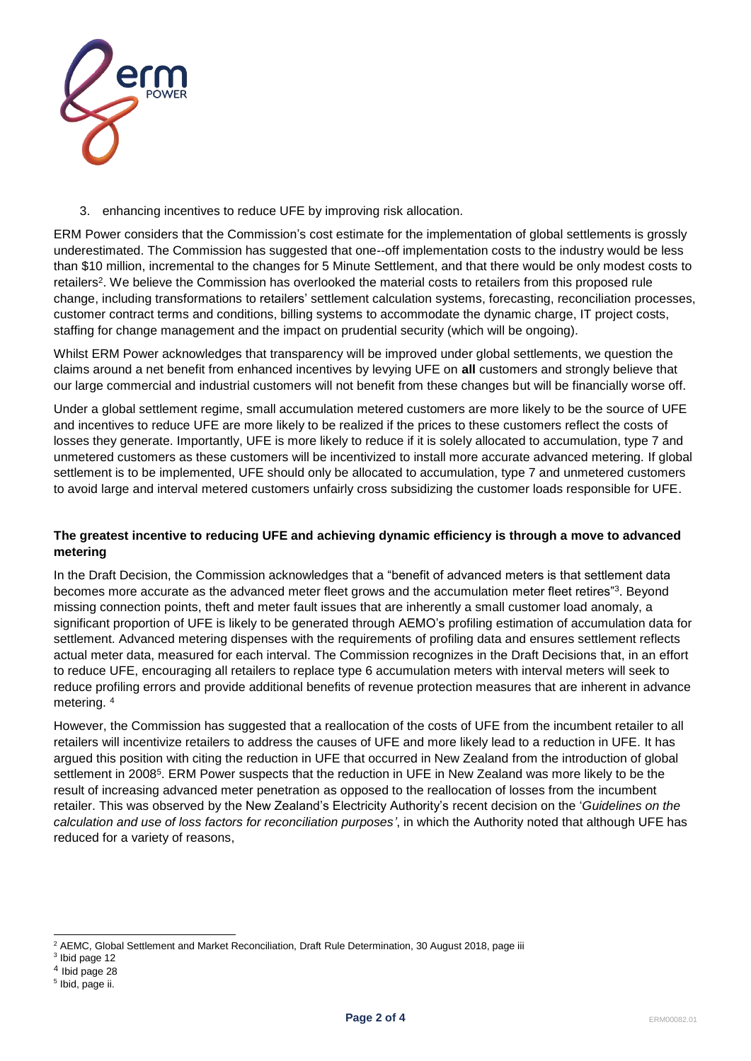

3. enhancing incentives to reduce UFE by improving risk allocation.

ERM Power considers that the Commission's cost estimate for the implementation of global settlements is grossly underestimated. The Commission has suggested that one--off implementation costs to the industry would be less than \$10 million, incremental to the changes for 5 Minute Settlement, and that there would be only modest costs to retailers<sup>2</sup>. We believe the Commission has overlooked the material costs to retailers from this proposed rule change, including transformations to retailers' settlement calculation systems, forecasting, reconciliation processes, customer contract terms and conditions, billing systems to accommodate the dynamic charge, IT project costs, staffing for change management and the impact on prudential security (which will be ongoing).

Whilst ERM Power acknowledges that transparency will be improved under global settlements, we question the claims around a net benefit from enhanced incentives by levying UFE on **all** customers and strongly believe that our large commercial and industrial customers will not benefit from these changes but will be financially worse off.

Under a global settlement regime, small accumulation metered customers are more likely to be the source of UFE and incentives to reduce UFE are more likely to be realized if the prices to these customers reflect the costs of losses they generate. Importantly, UFE is more likely to reduce if it is solely allocated to accumulation, type 7 and unmetered customers as these customers will be incentivized to install more accurate advanced metering. If global settlement is to be implemented, UFE should only be allocated to accumulation, type 7 and unmetered customers to avoid large and interval metered customers unfairly cross subsidizing the customer loads responsible for UFE.

# **The greatest incentive to reducing UFE and achieving dynamic efficiency is through a move to advanced metering**

In the Draft Decision, the Commission acknowledges that a "benefit of advanced meters is that settlement data becomes more accurate as the advanced meter fleet grows and the accumulation meter fleet retires"<sup>3</sup>. Beyond missing connection points, theft and meter fault issues that are inherently a small customer load anomaly, a significant proportion of UFE is likely to be generated through AEMO's profiling estimation of accumulation data for settlement. Advanced metering dispenses with the requirements of profiling data and ensures settlement reflects actual meter data, measured for each interval. The Commission recognizes in the Draft Decisions that, in an effort to reduce UFE, encouraging all retailers to replace type 6 accumulation meters with interval meters will seek to reduce profiling errors and provide additional benefits of revenue protection measures that are inherent in advance metering. 4

However, the Commission has suggested that a reallocation of the costs of UFE from the incumbent retailer to all retailers will incentivize retailers to address the causes of UFE and more likely lead to a reduction in UFE. It has argued this position with citing the reduction in UFE that occurred in New Zealand from the introduction of global settlement in 2008<sup>5</sup>. ERM Power suspects that the reduction in UFE in New Zealand was more likely to be the result of increasing advanced meter penetration as opposed to the reallocation of losses from the incumbent retailer. This was observed by the New Zealand's Electricity Authority's recent decision on the '*Guidelines on the calculation and use of loss factors for reconciliation purposes'*, in which the Authority noted that although UFE has reduced for a variety of reasons,

l <sup>2</sup> AEMC, Global Settlement and Market Reconciliation, Draft Rule Determination, 30 August 2018, page iii

<sup>&</sup>lt;sup>3</sup> Ibid page 12

<sup>&</sup>lt;sup>4</sup> Ibid page 28

<sup>&</sup>lt;sup>5</sup> Ibid, page ii.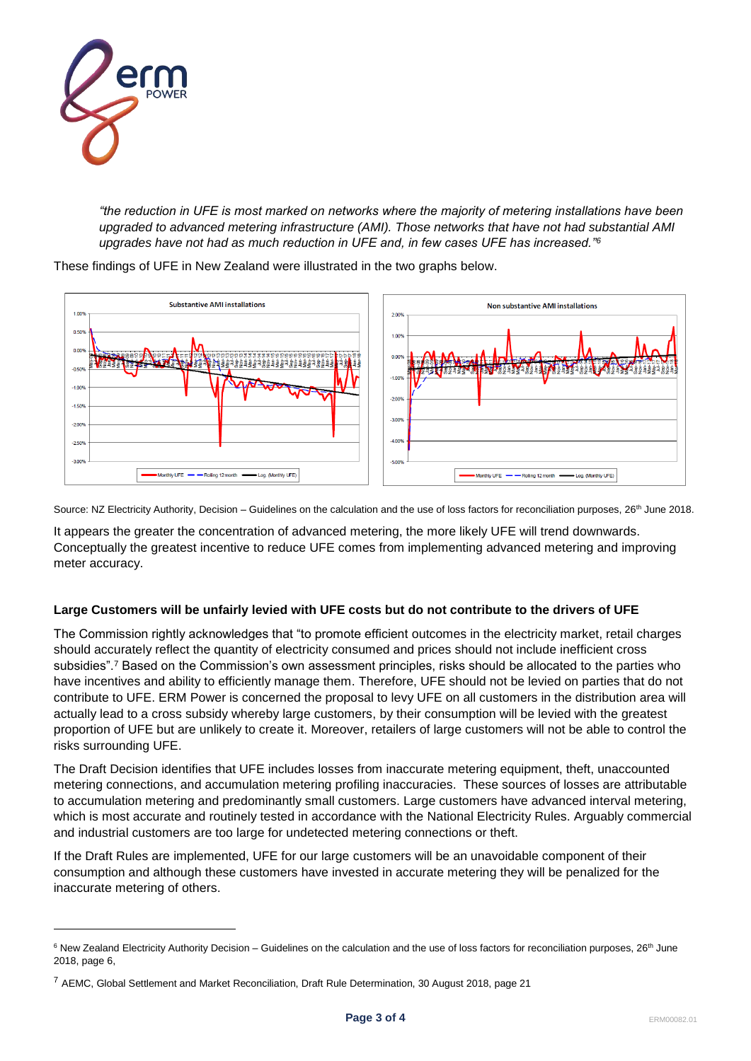

l

*"the reduction in UFE is most marked on networks where the majority of metering installations have been upgraded to advanced metering infrastructure (AMI). Those networks that have not had substantial AMI upgrades have not had as much reduction in UFE and, in few cases UFE has increased."<sup>6</sup>*

These findings of UFE in New Zealand were illustrated in the two graphs below.



Source: NZ Electricity Authority, Decision – Guidelines on the calculation and the use of loss factors for reconciliation purposes, 26<sup>th</sup> June 2018.

It appears the greater the concentration of advanced metering, the more likely UFE will trend downwards. Conceptually the greatest incentive to reduce UFE comes from implementing advanced metering and improving meter accuracy.

### **Large Customers will be unfairly levied with UFE costs but do not contribute to the drivers of UFE**

The Commission rightly acknowledges that "to promote efficient outcomes in the electricity market, retail charges should accurately reflect the quantity of electricity consumed and prices should not include inefficient cross subsidies".<sup>7</sup> Based on the Commission's own assessment principles, risks should be allocated to the parties who have incentives and ability to efficiently manage them. Therefore, UFE should not be levied on parties that do not contribute to UFE. ERM Power is concerned the proposal to levy UFE on all customers in the distribution area will actually lead to a cross subsidy whereby large customers, by their consumption will be levied with the greatest proportion of UFE but are unlikely to create it. Moreover, retailers of large customers will not be able to control the risks surrounding UFE.

The Draft Decision identifies that UFE includes losses from inaccurate metering equipment, theft, unaccounted metering connections, and accumulation metering profiling inaccuracies. These sources of losses are attributable to accumulation metering and predominantly small customers. Large customers have advanced interval metering, which is most accurate and routinely tested in accordance with the National Electricity Rules. Arguably commercial and industrial customers are too large for undetected metering connections or theft.

If the Draft Rules are implemented, UFE for our large customers will be an unavoidable component of their consumption and although these customers have invested in accurate metering they will be penalized for the inaccurate metering of others.

 $6$  New Zealand Electricity Authority Decision – Guidelines on the calculation and the use of loss factors for reconciliation purposes,  $26<sup>th</sup>$  June 2018, page 6,

<sup>7</sup> AEMC, Global Settlement and Market Reconciliation, Draft Rule Determination, 30 August 2018, page 21